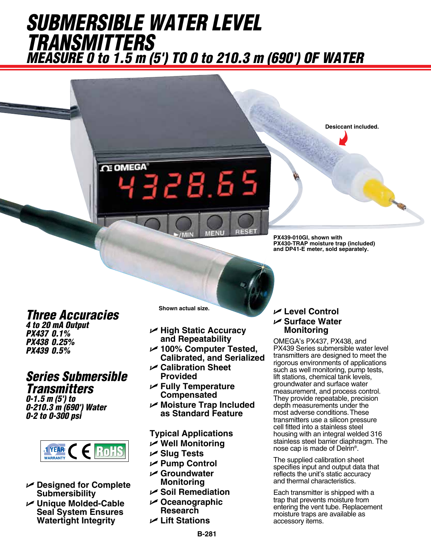# *SUBMERSIBLE WATER LEVEL TRANSMITTERS Measure 0 to 1.5 m (5') TO 0 to 210.3 m (690') OF WATER*

1328.65

*Three Accuracies 4 to 20 mA Output*

**OE OMEGA** 

*PX437 0.1% PX438 0.25% PX439 0.5%*

### *Series Submersible Transmitters*

*0-1.5 m (5') to 0-210.3 m (690') Water 0-2 to 0-300 psi* 



- U **Designed for Complete Submersibility**
- U **Unique Molded-Cable Seal System Ensures Watertight Integrity**

**Shown actual size.**

- U **High Static Accuracy and Repeatability**
- U **100% Computer Tested, Calibrated, and Serialized**
- U **Calibration Sheet Provided**
- U **Fully Temperature Compensated**
- U **Moisture Trap Included as Standard Feature**

#### **Typical Applications**

- U **Well Monitoring**
- U **Slug Tests**
- U **Pump Control**
- U **Groundwater Monitoring**
- U **Soil Remediation**
- U **Oceanographic Research**
- U **Lift Stations**

#### U **Level Control** U **Surface Water Monitoring**

**PX439-010GI, shown with** 

**PX430-TRAP moisture trap (included) and DP41-E meter, sold separately.**

**Desiccant included.**

OMEGA's PX437, PX438, and PX439 Series submersible water level transmitters are designed to meet the rigorous environments of applications such as well monitoring, pump tests, lift stations, chemical tank levels, groundwater and surface water measurement, and process control. They provide repeatable, precision depth measurements under the most adverse conditions. These transmitters use a silicon pressure cell fitted into a stainless steel housing with an integral welded 316 stainless steel barrier diaphragm. The nose cap is made of Delrin®.

The supplied calibration sheet specifies input and output data that reflects the unit's static accuracy and thermal characteristics.

Each transmitter is shipped with a trap that prevents moisture from entering the vent tube. Replacement moisture traps are available as accessory items.